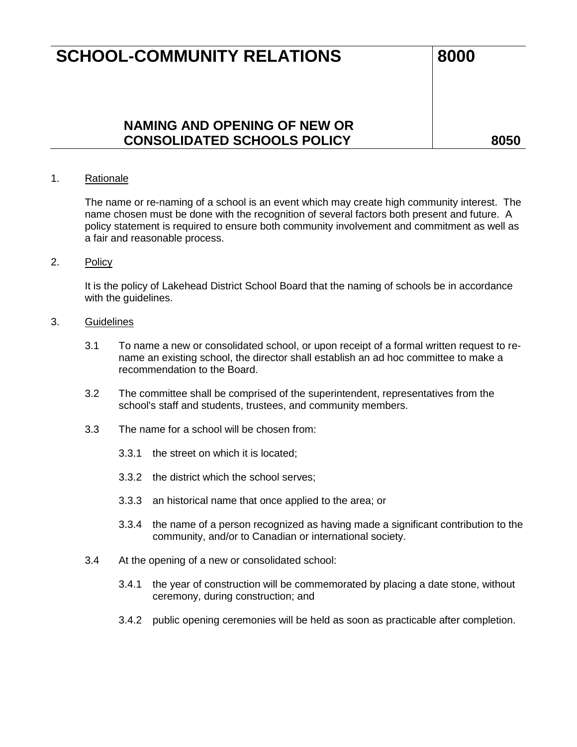## **SCHOOL-COMMUNITY RELATIONS** 8000

### **NAMING AND OPENING OF NEW OR CONSOLIDATED SCHOOLS POLICY 8050**

#### 1. Rationale

The name or re-naming of a school is an event which may create high community interest. The name chosen must be done with the recognition of several factors both present and future. A policy statement is required to ensure both community involvement and commitment as well as a fair and reasonable process.

#### 2. Policy

It is the policy of Lakehead District School Board that the naming of schools be in accordance with the guidelines.

#### 3. Guidelines

- 3.1 To name a new or consolidated school, or upon receipt of a formal written request to rename an existing school, the director shall establish an ad hoc committee to make a recommendation to the Board.
- 3.2 The committee shall be comprised of the superintendent, representatives from the school's staff and students, trustees, and community members.
- 3.3 The name for a school will be chosen from:
	- 3.3.1 the street on which it is located;
	- 3.3.2 the district which the school serves;
	- 3.3.3 an historical name that once applied to the area; or
	- 3.3.4 the name of a person recognized as having made a significant contribution to the community, and/or to Canadian or international society.
- 3.4 At the opening of a new or consolidated school:
	- 3.4.1 the year of construction will be commemorated by placing a date stone, without ceremony, during construction; and
	- 3.4.2 public opening ceremonies will be held as soon as practicable after completion.